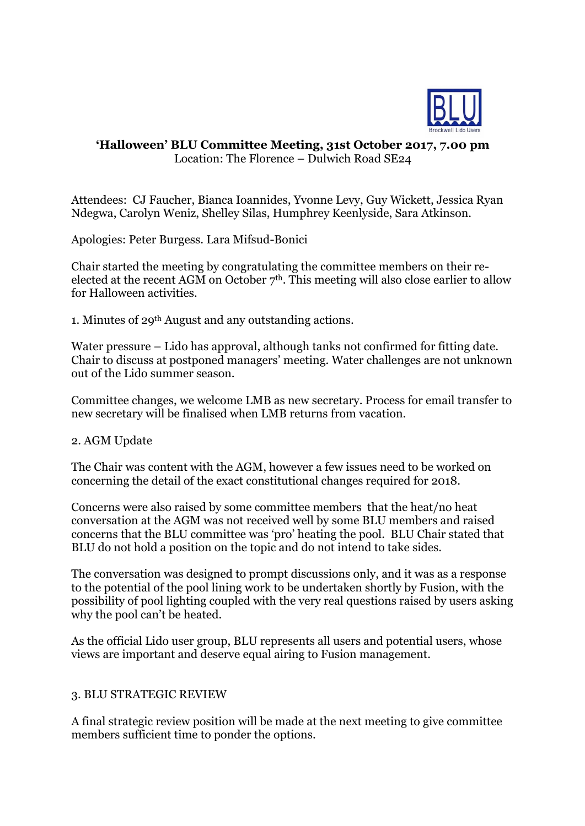

## **'Halloween' BLU Committee Meeting, 31st October 2017, 7.00 pm** Location: The Florence – Dulwich Road SE24

Attendees: CJ Faucher, Bianca Ioannides, Yvonne Levy, Guy Wickett, Jessica Ryan Ndegwa, Carolyn Weniz, Shelley Silas, Humphrey Keenlyside, Sara Atkinson.

Apologies: Peter Burgess. Lara Mifsud-Bonici

Chair started the meeting by congratulating the committee members on their reelected at the recent AGM on October  $7<sup>th</sup>$ . This meeting will also close earlier to allow for Halloween activities.

1. Minutes of 29th August and any outstanding actions.

Water pressure – Lido has approval, although tanks not confirmed for fitting date. Chair to discuss at postponed managers' meeting. Water challenges are not unknown out of the Lido summer season.

Committee changes, we welcome LMB as new secretary. Process for email transfer to new secretary will be finalised when LMB returns from vacation.

## 2. AGM Update

The Chair was content with the AGM, however a few issues need to be worked on concerning the detail of the exact constitutional changes required for 2018.

Concerns were also raised by some committee members that the heat/no heat conversation at the AGM was not received well by some BLU members and raised concerns that the BLU committee was 'pro' heating the pool. BLU Chair stated that BLU do not hold a position on the topic and do not intend to take sides.

The conversation was designed to prompt discussions only, and it was as a response to the potential of the pool lining work to be undertaken shortly by Fusion, with the possibility of pool lighting coupled with the very real questions raised by users asking why the pool can't be heated.

As the official Lido user group, BLU represents all users and potential users, whose views are important and deserve equal airing to Fusion management.

## 3. BLU STRATEGIC REVIEW

A final strategic review position will be made at the next meeting to give committee members sufficient time to ponder the options.